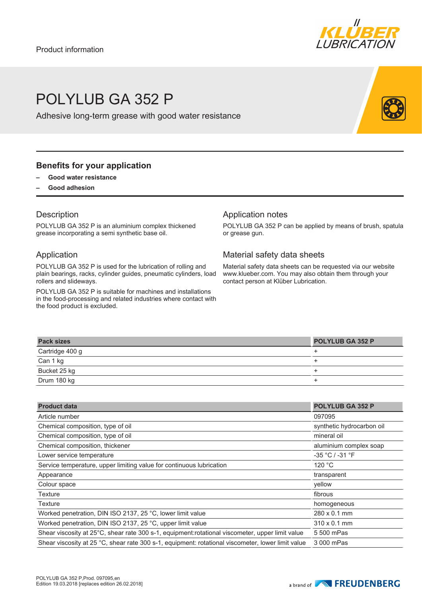

# POLYLUB GA 352 P

Adhesive long-term grease with good water resistance

#### **Benefits for your application**

- **– Good water resistance**
- **– Good adhesion**

#### **Description**

POLYLUB GA 352 P is an aluminium complex thickened grease incorporating a semi synthetic base oil.

#### Application

POLYLUB GA 352 P is used for the lubrication of rolling and plain bearings, racks, cylinder guides, pneumatic cylinders, load rollers and slideways.

POLYLUB GA 352 P is suitable for machines and installations in the food-processing and related industries where contact with the food product is excluded.

#### Application notes

POLYLUB GA 352 P can be applied by means of brush, spatula or grease gun.

### Material safety data sheets

Material safety data sheets can be requested via our website www.klueber.com. You may also obtain them through your contact person at Klüber Lubrication.

| <b>Pack sizes</b> | <b>POLYLUB GA 352 P</b> |
|-------------------|-------------------------|
| Cartridge 400 g   |                         |
| Can 1 kg          |                         |
| Bucket 25 kg      |                         |
| Drum 180 kg       |                         |

| <b>Product data</b>                                                                               | <b>POLYLUB GA 352 P</b>   |
|---------------------------------------------------------------------------------------------------|---------------------------|
| Article number                                                                                    | 097095                    |
| Chemical composition, type of oil                                                                 | synthetic hydrocarbon oil |
| Chemical composition, type of oil                                                                 | mineral oil               |
| Chemical composition, thickener                                                                   | aluminium complex soap    |
| Lower service temperature                                                                         | $-35 °C / -31 °F$         |
| Service temperature, upper limiting value for continuous lubrication                              | 120 °C                    |
| Appearance                                                                                        | transparent               |
| Colour space                                                                                      | yellow                    |
| <b>Texture</b>                                                                                    | fibrous                   |
| Texture                                                                                           | homogeneous               |
| Worked penetration, DIN ISO 2137, 25 °C, lower limit value                                        | 280 x 0.1 mm              |
| Worked penetration, DIN ISO 2137, 25 °C, upper limit value                                        | $310 \times 0.1$ mm       |
| Shear viscosity at 25°C, shear rate 300 s-1, equipment:rotational viscometer, upper limit value   | 5 500 mPas                |
| Shear viscosity at 25 °C, shear rate 300 s-1, equipment: rotational viscometer, lower limit value | 3 000 mPas                |